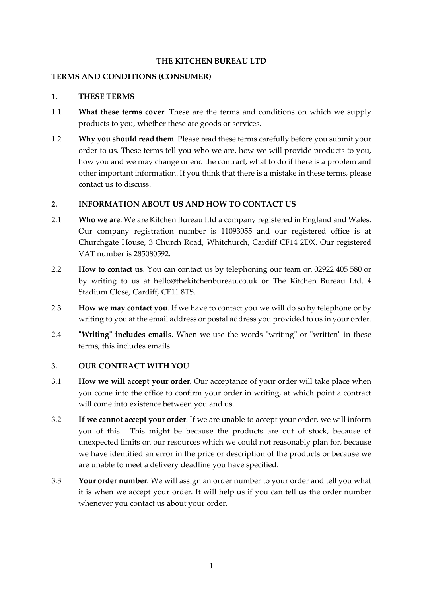### **THE KITCHEN BUREAU LTD**

### **TERMS AND CONDITIONS (CONSUMER)**

#### **1. THESE TERMS**

- 1.1 **What these terms cover**. These are the terms and conditions on which we supply products to you, whether these are goods or services.
- 1.2 **Why you should read them**. Please read these terms carefully before you submit your order to us. These terms tell you who we are, how we will provide products to you, how you and we may change or end the contract, what to do if there is a problem and other important information. If you think that there is a mistake in these terms, please contact us to discuss.

#### **2. INFORMATION ABOUT US AND HOW TO CONTACT US**

- 2.1 **Who we are**. We are Kitchen Bureau Ltd a company registered in England and Wales. Our company registration number is 11093055 and our registered office is at Churchgate House, 3 Church Road, Whitchurch, Cardiff CF14 2DX. Our registered VAT number is 285080592.
- 2.2 **How to contact us**. You can contact us by telephoning our team on 02922 405 580 or by writing to us at hello@thekitchenbureau.co.uk or The Kitchen Bureau Ltd, 4 Stadium Close, Cardiff, CF11 8TS.
- 2.3 **How we may contact you**. If we have to contact you we will do so by telephone or by writing to you at the email address or postal address you provided to us in your order.
- 2.4 **"Writing" includes emails**. When we use the words "writing" or "written" in these terms, this includes emails.

### **3. OUR CONTRACT WITH YOU**

- 3.1 **How we will accept your order**. Our acceptance of your order will take place when you come into the office to confirm your order in writing, at which point a contract will come into existence between you and us.
- 3.2 **If we cannot accept your order**. If we are unable to accept your order, we will inform you of this. This might be because the products are out of stock, because of unexpected limits on our resources which we could not reasonably plan for, because we have identified an error in the price or description of the products or because we are unable to meet a delivery deadline you have specified.
- 3.3 **Your order number**. We will assign an order number to your order and tell you what it is when we accept your order. It will help us if you can tell us the order number whenever you contact us about your order.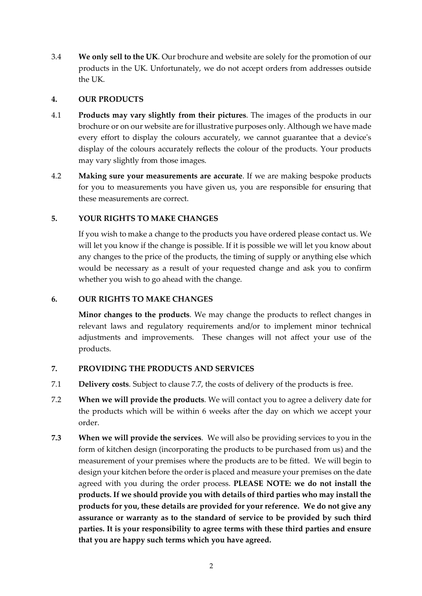3.4 **We only sell to the UK**. Our brochure and website are solely for the promotion of our products in the UK. Unfortunately, we do not accept orders from addresses outside the UK.

### **4. OUR PRODUCTS**

- 4.1 **Products may vary slightly from their pictures**. The images of the products in our brochure or on our website are for illustrative purposes only. Although we have made every effort to display the colours accurately, we cannot guarantee that a device's display of the colours accurately reflects the colour of the products. Your products may vary slightly from those images.
- 4.2 **Making sure your measurements are accurate**. If we are making bespoke products for you to measurements you have given us, you are responsible for ensuring that these measurements are correct.

# **5. YOUR RIGHTS TO MAKE CHANGES**

If you wish to make a change to the products you have ordered please contact us. We will let you know if the change is possible. If it is possible we will let you know about any changes to the price of the products, the timing of supply or anything else which would be necessary as a result of your requested change and ask you to confirm whether you wish to go ahead with the change.

## **6. OUR RIGHTS TO MAKE CHANGES**

**Minor changes to the products**. We may change the products to reflect changes in relevant laws and regulatory requirements and/or to implement minor technical adjustments and improvements. These changes will not affect your use of the products.

# **7. PROVIDING THE PRODUCTS AND SERVICES**

- 7.1 **Delivery costs**. Subject to clause 7.7, the costs of delivery of the products is free.
- 7.2 **When we will provide the products**. We will contact you to agree a delivery date for the products which will be within 6 weeks after the day on which we accept your order.
- **7.3 When we will provide the services**. We will also be providing services to you in the form of kitchen design (incorporating the products to be purchased from us) and the measurement of your premises where the products are to be fitted. We will begin to design your kitchen before the order is placed and measure your premises on the date agreed with you during the order process. **PLEASE NOTE: we do not install the products. If we should provide you with details of third parties who may install the products for you, these details are provided for your reference. We do not give any assurance or warranty as to the standard of service to be provided by such third parties. It is your responsibility to agree terms with these third parties and ensure that you are happy such terms which you have agreed.**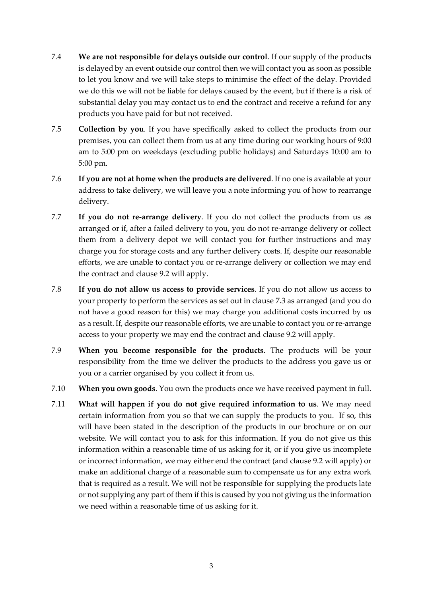- 7.4 **We are not responsible for delays outside our control**. If our supply of the products is delayed by an event outside our control then we will contact you as soon as possible to let you know and we will take steps to minimise the effect of the delay. Provided we do this we will not be liable for delays caused by the event, but if there is a risk of substantial delay you may contact us to end the contract and receive a refund for any products you have paid for but not received.
- 7.5 **Collection by you**. If you have specifically asked to collect the products from our premises, you can collect them from us at any time during our working hours of 9:00 am to 5:00 pm on weekdays (excluding public holidays) and Saturdays 10:00 am to 5:00 pm.
- 7.6 **If you are not at home when the products are delivered**. If no one is available at your address to take delivery, we will leave you a note informing you of how to rearrange delivery.
- 7.7 **If you do not re-arrange delivery**. If you do not collect the products from us as arranged or if, after a failed delivery to you, you do not re-arrange delivery or collect them from a delivery depot we will contact you for further instructions and may charge you for storage costs and any further delivery costs. If, despite our reasonable efforts, we are unable to contact you or re-arrange delivery or collection we may end the contract and clause 9.2 will apply.
- 7.8 **If you do not allow us access to provide services**. If you do not allow us access to your property to perform the services as set out in clause 7.3 as arranged (and you do not have a good reason for this) we may charge you additional costs incurred by us as a result. If, despite our reasonable efforts, we are unable to contact you or re-arrange access to your property we may end the contract and clause 9.2 will apply.
- 7.9 **When you become responsible for the products**. The products will be your responsibility from the time we deliver the products to the address you gave us or you or a carrier organised by you collect it from us.
- 7.10 **When you own goods**. You own the products once we have received payment in full.
- 7.11 **What will happen if you do not give required information to us**. We may need certain information from you so that we can supply the products to you. If so, this will have been stated in the description of the products in our brochure or on our website. We will contact you to ask for this information. If you do not give us this information within a reasonable time of us asking for it, or if you give us incomplete or incorrect information, we may either end the contract (and clause 9.2 will apply) or make an additional charge of a reasonable sum to compensate us for any extra work that is required as a result. We will not be responsible for supplying the products late or not supplying any part of them if this is caused by you not giving us the information we need within a reasonable time of us asking for it.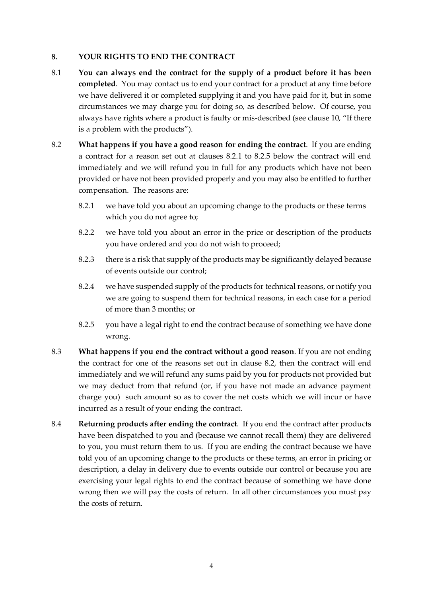# **8. YOUR RIGHTS TO END THE CONTRACT**

- 8.1 **You can always end the contract for the supply of a product before it has been completed**. You may contact us to end your contract for a product at any time before we have delivered it or completed supplying it and you have paid for it, but in some circumstances we may charge you for doing so, as described below. Of course, you always have rights where a product is faulty or mis-described (see clause 10, "If there is a problem with the products").
- 8.2 **What happens if you have a good reason for ending the contract**. If you are ending a contract for a reason set out at clauses 8.2.1 to 8.2.5 below the contract will end immediately and we will refund you in full for any products which have not been provided or have not been provided properly and you may also be entitled to further compensation. The reasons are:
	- 8.2.1 we have told you about an upcoming change to the products or these terms which you do not agree to;
	- 8.2.2 we have told you about an error in the price or description of the products you have ordered and you do not wish to proceed;
	- 8.2.3 there is a risk that supply of the products may be significantly delayed because of events outside our control;
	- 8.2.4 we have suspended supply of the products for technical reasons, or notify you we are going to suspend them for technical reasons, in each case for a period of more than 3 months; or
	- 8.2.5 you have a legal right to end the contract because of something we have done wrong.
- 8.3 **What happens if you end the contract without a good reason**. If you are not ending the contract for one of the reasons set out in clause 8.2, then the contract will end immediately and we will refund any sums paid by you for products not provided but we may deduct from that refund (or, if you have not made an advance payment charge you) such amount so as to cover the net costs which we will incur or have incurred as a result of your ending the contract.
- 8.4 **Returning products after ending the contract**. If you end the contract after products have been dispatched to you and (because we cannot recall them) they are delivered to you, you must return them to us. If you are ending the contract because we have told you of an upcoming change to the products or these terms, an error in pricing or description, a delay in delivery due to events outside our control or because you are exercising your legal rights to end the contract because of something we have done wrong then we will pay the costs of return. In all other circumstances you must pay the costs of return.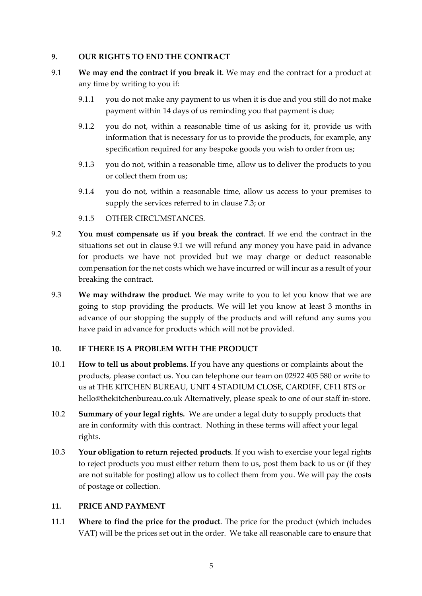## **9. OUR RIGHTS TO END THE CONTRACT**

- 9.1 **We may end the contract if you break it**. We may end the contract for a product at any time by writing to you if:
	- 9.1.1 you do not make any payment to us when it is due and you still do not make payment within 14 days of us reminding you that payment is due;
	- 9.1.2 you do not, within a reasonable time of us asking for it, provide us with information that is necessary for us to provide the products, for example, any specification required for any bespoke goods you wish to order from us;
	- 9.1.3 you do not, within a reasonable time, allow us to deliver the products to you or collect them from us;
	- 9.1.4 you do not, within a reasonable time, allow us access to your premises to supply the services referred to in clause 7.3; or
	- 9.1.5 OTHER CIRCUMSTANCES.
- 9.2 **You must compensate us if you break the contract**. If we end the contract in the situations set out in clause 9.1 we will refund any money you have paid in advance for products we have not provided but we may charge or deduct reasonable compensation for the net costs which we have incurred or will incur as a result of your breaking the contract.
- 9.3 **We may withdraw the product**. We may write to you to let you know that we are going to stop providing the products. We will let you know at least 3 months in advance of our stopping the supply of the products and will refund any sums you have paid in advance for products which will not be provided.

# **10. IF THERE IS A PROBLEM WITH THE PRODUCT**

- 10.1 **How to tell us about problems**. If you have any questions or complaints about the products, please contact us. You can telephone our team on 02922 405 580 or write to us at THE KITCHEN BUREAU, UNIT 4 STADIUM CLOSE, CARDIFF, CF11 8TS or hello@thekitchenbureau.co.uk Alternatively, please speak to one of our staff in-store.
- 10.2 **Summary of your legal rights.** We are under a legal duty to supply products that are in conformity with this contract. Nothing in these terms will affect your legal rights.
- 10.3 **Your obligation to return rejected products**. If you wish to exercise your legal rights to reject products you must either return them to us, post them back to us or (if they are not suitable for posting) allow us to collect them from you. We will pay the costs of postage or collection.

### **11. PRICE AND PAYMENT**

11.1 **Where to find the price for the product**. The price for the product (which includes VAT) will be the prices set out in the order. We take all reasonable care to ensure that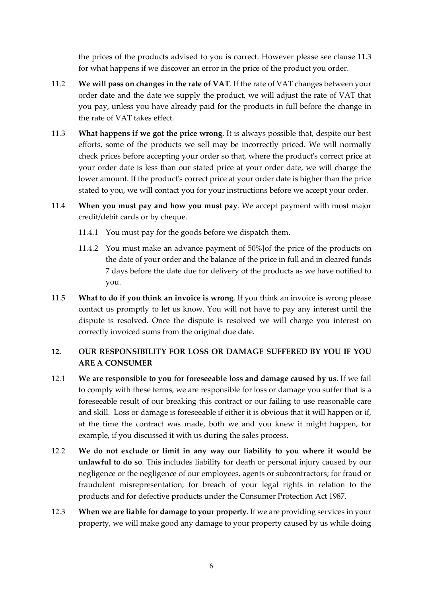the prices of the products advised to you is correct. However please see clause 11.3 for what happens if we discover an error in the price of the product you order.

- 11.2 **We will pass on changes in the rate of VAT**. If the rate of VAT changes between your order date and the date we supply the product, we will adjust the rate of VAT that you pay, unless you have already paid for the products in full before the change in the rate of VAT takes effect.
- 11.3 **What happens if we got the price wrong**. It is always possible that, despite our best efforts, some of the products we sell may be incorrectly priced. We will normally check prices before accepting your order so that, where the product's correct price at your order date is less than our stated price at your order date, we will charge the lower amount. If the product's correct price at your order date is higher than the price stated to you, we will contact you for your instructions before we accept your order.
- 11.4 **When you must pay and how you must pay**. We accept payment with most major credit/debit cards or by cheque.
	- 11.4.1 You must pay for the goods before we dispatch them.
	- 11.4.2 You must make an advance payment of 50%]of the price of the products on the date of your order and the balance of the price in full and in cleared funds 7 days before the date due for delivery of the products as we have notified to you.
- 11.5 **What to do if you think an invoice is wrong**. If you think an invoice is wrong please contact us promptly to let us know. You will not have to pay any interest until the dispute is resolved. Once the dispute is resolved we will charge you interest on correctly invoiced sums from the original due date.

# **12. OUR RESPONSIBILITY FOR LOSS OR DAMAGE SUFFERED BY YOU IF YOU ARE A CONSUMER**

- 12.1 **We are responsible to you for foreseeable loss and damage caused by us**. If we fail to comply with these terms, we are responsible for loss or damage you suffer that is a foreseeable result of our breaking this contract or our failing to use reasonable care and skill. Loss or damage is foreseeable if either it is obvious that it will happen or if, at the time the contract was made, both we and you knew it might happen, for example, if you discussed it with us during the sales process.
- 12.2 **We do not exclude or limit in any way our liability to you where it would be unlawful to do so**. This includes liability for death or personal injury caused by our negligence or the negligence of our employees, agents or subcontractors; for fraud or fraudulent misrepresentation; for breach of your legal rights in relation to the products and for defective products under the Consumer Protection Act 1987.
- 12.3 **When we are liable for damage to your property**. If we are providing services in your property, we will make good any damage to your property caused by us while doing